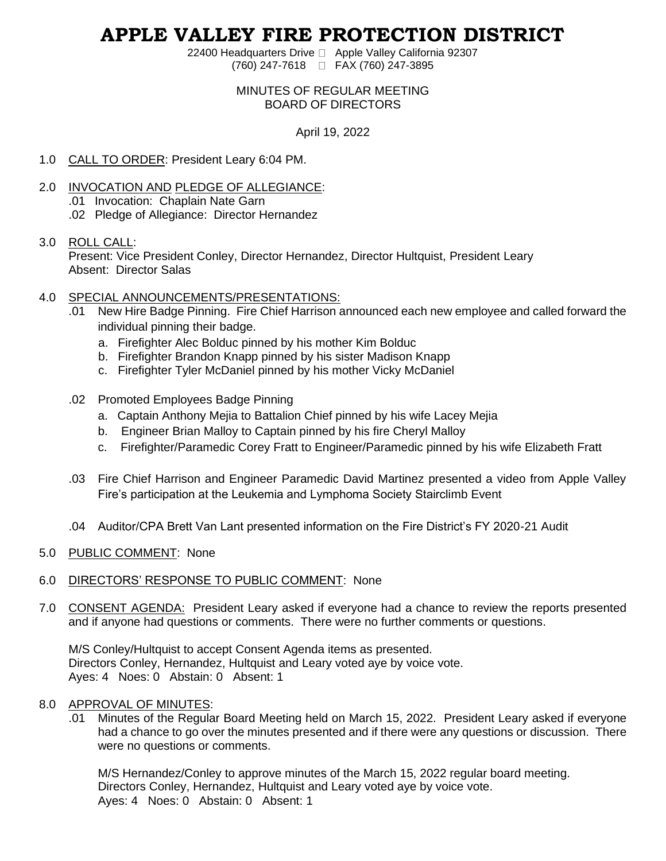# **APPLE VALLEY FIRE PROTECTION DISTRICT**

22400 Headquarters Drive □ Apple Valley California 92307 (760) 247-7618 FAX (760) 247-3895

## MINUTES OF REGULAR MEETING BOARD OF DIRECTORS

April 19, 2022

- 1.0 CALL TO ORDER: President Leary 6:04 PM.
- 2.0 INVOCATION AND PLEDGE OF ALLEGIANCE: .01 Invocation: Chaplain Nate Garn .02 Pledge of Allegiance: Director Hernandez

#### 3.0 ROLL CALL:

Present: Vice President Conley, Director Hernandez, Director Hultquist, President Leary Absent: Director Salas

## 4.0 SPECIAL ANNOUNCEMENTS/PRESENTATIONS:

- .01 New Hire Badge Pinning. Fire Chief Harrison announced each new employee and called forward the individual pinning their badge.
	- a. Firefighter Alec Bolduc pinned by his mother Kim Bolduc
	- b. Firefighter Brandon Knapp pinned by his sister Madison Knapp
	- c. Firefighter Tyler McDaniel pinned by his mother Vicky McDaniel
- .02 Promoted Employees Badge Pinning
	- a. Captain Anthony Mejia to Battalion Chief pinned by his wife Lacey Mejia
	- b. Engineer Brian Malloy to Captain pinned by his fire Cheryl Malloy
	- c. Firefighter/Paramedic Corey Fratt to Engineer/Paramedic pinned by his wife Elizabeth Fratt
- .03 Fire Chief Harrison and Engineer Paramedic David Martinez presented a video from Apple Valley Fire's participation at the Leukemia and Lymphoma Society Stairclimb Event
- .04 Auditor/CPA Brett Van Lant presented information on the Fire District's FY 2020-21 Audit
- 5.0 PUBLIC COMMENT: None
- 6.0 DIRECTORS' RESPONSE TO PUBLIC COMMENT: None
- 7.0 CONSENT AGENDA: President Leary asked if everyone had a chance to review the reports presented and if anyone had questions or comments. There were no further comments or questions.

M/S Conley/Hultquist to accept Consent Agenda items as presented. Directors Conley, Hernandez, Hultquist and Leary voted aye by voice vote. Ayes: 4 Noes: 0 Abstain: 0 Absent: 1

#### 8.0 APPROVAL OF MINUTES:

.01 Minutes of the Regular Board Meeting held on March 15, 2022. President Leary asked if everyone had a chance to go over the minutes presented and if there were any questions or discussion. There were no questions or comments.

M/S Hernandez/Conley to approve minutes of the March 15, 2022 regular board meeting. Directors Conley, Hernandez, Hultquist and Leary voted aye by voice vote. Ayes: 4 Noes: 0 Abstain: 0 Absent: 1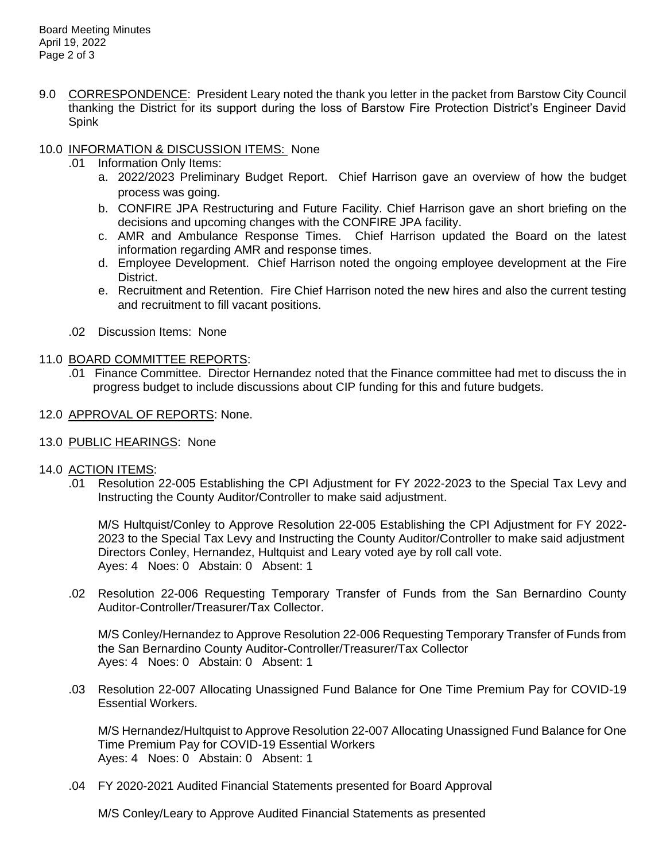9.0 CORRESPONDENCE: President Leary noted the thank you letter in the packet from Barstow City Council thanking the District for its support during the loss of Barstow Fire Protection District's Engineer David Spink

# 10.0 INFORMATION & DISCUSSION ITEMS: None

- .01 Information Only Items:
	- a. 2022/2023 Preliminary Budget Report. Chief Harrison gave an overview of how the budget process was going.
	- b. CONFIRE JPA Restructuring and Future Facility. Chief Harrison gave an short briefing on the decisions and upcoming changes with the CONFIRE JPA facility.
	- c. AMR and Ambulance Response Times. Chief Harrison updated the Board on the latest information regarding AMR and response times.
	- d. Employee Development. Chief Harrison noted the ongoing employee development at the Fire District.
	- e. Recruitment and Retention. Fire Chief Harrison noted the new hires and also the current testing and recruitment to fill vacant positions.
- .02 Discussion Items: None

## 11.0 BOARD COMMITTEE REPORTS:

- .01 Finance Committee. Director Hernandez noted that the Finance committee had met to discuss the in progress budget to include discussions about CIP funding for this and future budgets.
- 12.0 APPROVAL OF REPORTS: None.
- 13.0 PUBLIC HEARINGS: None
- 14.0 ACTION ITEMS:
	- .01 Resolution 22-005 Establishing the CPI Adjustment for FY 2022-2023 to the Special Tax Levy and Instructing the County Auditor/Controller to make said adjustment.

M/S Hultquist/Conley to Approve Resolution 22-005 Establishing the CPI Adjustment for FY 2022- 2023 to the Special Tax Levy and Instructing the County Auditor/Controller to make said adjustment Directors Conley, Hernandez, Hultquist and Leary voted aye by roll call vote. Ayes: 4 Noes: 0 Abstain: 0 Absent: 1

.02 Resolution 22-006 Requesting Temporary Transfer of Funds from the San Bernardino County Auditor-Controller/Treasurer/Tax Collector.

M/S Conley/Hernandez to Approve Resolution 22-006 Requesting Temporary Transfer of Funds from the San Bernardino County Auditor-Controller/Treasurer/Tax Collector Ayes: 4 Noes: 0 Abstain: 0 Absent: 1

.03 Resolution 22-007 Allocating Unassigned Fund Balance for One Time Premium Pay for COVID-19 Essential Workers.

M/S Hernandez/Hultquist to Approve Resolution 22-007 Allocating Unassigned Fund Balance for One Time Premium Pay for COVID-19 Essential Workers Ayes: 4 Noes: 0 Abstain: 0 Absent: 1

.04 FY 2020-2021 Audited Financial Statements presented for Board Approval

M/S Conley/Leary to Approve Audited Financial Statements as presented